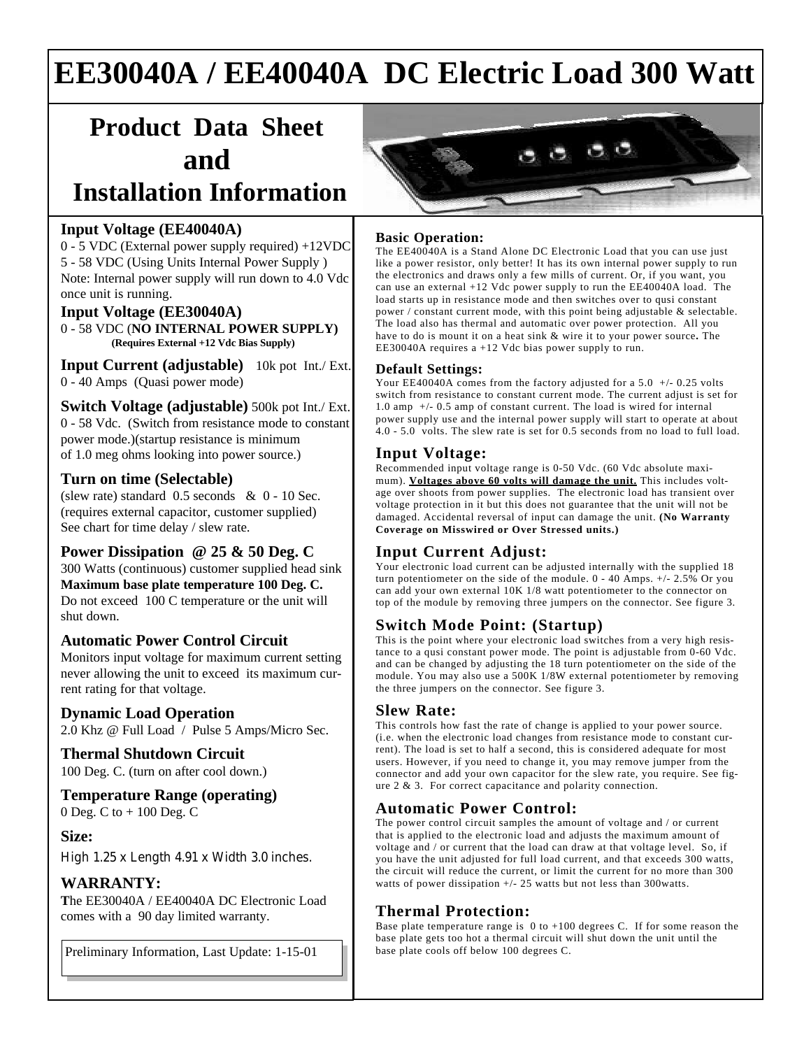# **EE30040A / EE40040A DC Electric Load 300 Watt**

# **Product Data Sheet and**

## **Installation Information**

#### **Input Voltage (EE40040A)**

0 - 5 VDC (External power supply required) +12VDC 5 - 58 VDC (Using Units Internal Power Supply ) Note: Internal power supply will run down to 4.0 Vdc once unit is running.

#### **Input Voltage (EE30040A)**

0 - 58 VDC (**NO INTERNAL POWER SUPPLY) (Requires External +12 Vdc Bias Supply)**

**Input Current (adjustable)** 10k pot Int./ Ext. 0 - 40 Amps (Quasi power mode)

**Switch Voltage (adjustable)** 500k pot Int./ Ext. 0 - 58 Vdc. (Switch from resistance mode to constant power mode.)(startup resistance is minimum of 1.0 meg ohms looking into power source.)

#### **Turn on time (Selectable)**

(slew rate) standard 0.5 seconds & 0 - 10 Sec. (requires external capacitor, customer supplied) See chart for time delay / slew rate.

#### **Power Dissipation @ 25 & 50 Deg. C**

300 Watts (continuous) customer supplied head sink **Maximum base plate temperature 100 Deg. C.** Do not exceed 100 C temperature or the unit will shut down.

#### **Automatic Power Control Circuit**

Monitors input voltage for maximum current setting never allowing the unit to exceed its maximum current rating for that voltage.

#### **Dynamic Load Operation**

2.0 Khz @ Full Load / Pulse 5 Amps/Micro Sec.

## **Thermal Shutdown Circuit**

100 Deg. C. (turn on after cool down.)

### **Temperature Range (operating)**

0 Deg. C to + 100 Deg. C

#### **Size:**

High 1.25 x Length 4.91 x Width 3.0 inches.

#### **WARRANTY:**

**T**he EE30040A / EE40040A DC Electronic Load comes with a 90 day limited warranty.

Preliminary Information, Last Update: 1-15-01 **base plate cools off below 100 degrees C.** 



#### **Basic Operation:**

The EE40040A is a Stand Alone DC Electronic Load that you can use just like a power resistor, only better! It has its own internal power supply to run the electronics and draws only a few mills of current. Or, if you want, you can use an external +12 Vdc power supply to run the EE40040A load. The load starts up in resistance mode and then switches over to qusi constant power / constant current mode, with this point being adjustable & selectable. The load also has thermal and automatic over power protection. All you have to do is mount it on a heat sink & wire it to your power source**.** The EE30040A requires a +12 Vdc bias power supply to run.

#### **Default Settings:**

Your EE40040A comes from the factory adjusted for a 5.0 +/- 0.25 volts switch from resistance to constant current mode. The current adjust is set for 1.0 amp +/- 0.5 amp of constant current. The load is wired for internal power supply use and the internal power supply will start to operate at about 4.0 - 5.0 volts. The slew rate is set for 0.5 seconds from no load to full load.

#### **Input Voltage:**

Recommended input voltage range is 0-50 Vdc. (60 Vdc absolute maximum). Voltages above 60 volts will damage the unit. This includes voltage over shoots from power supplies. The electronic load has transient over voltage protection in it but this does not guarantee that the unit will not be damaged. Accidental reversal of input can damage the unit. **(No Warranty Coverage on Misswired or Over Stressed units.)**

#### **Input Current Adjust:**

Your electronic load current can be adjusted internally with the supplied 18 turn potentiometer on the side of the module. 0 - 40 Amps. +/- 2.5% Or you can add your own external 10K 1/8 watt potentiometer to the connector on top of the module by removing three jumpers on the connector. See figure 3.

#### **Switch Mode Point: (Startup)**

This is the point where your electronic load switches from a very high resistance to a qusi constant power mode. The point is adjustable from 0-60 Vdc. and can be changed by adjusting the 18 turn potentiometer on the side of the module. You may also use a 500K 1/8W external potentiometer by removing the three jumpers on the connector. See figure 3.

#### **Slew Rate:**

This controls how fast the rate of change is applied to your power source. (i.e. when the electronic load changes from resistance mode to constant current). The load is set to half a second, this is considered adequate for most users. However, if you need to change it, you may remove jumper from the connector and add your own capacitor for the slew rate, you require. See figure 2 & 3. For correct capacitance and polarity connection.

#### **Automatic Power Control:**

The power control circuit samples the amount of voltage and / or current that is applied to the electronic load and adjusts the maximum amount of voltage and / or current that the load can draw at that voltage level. So, if you have the unit adjusted for full load current, and that exceeds 300 watts, the circuit will reduce the current, or limit the current for no more than 300 watts of power dissipation +/- 25 watts but not less than 300watts.

#### **Thermal Protection:**

Base plate temperature range is  $0$  to  $+100$  degrees C. If for some reason the base plate gets too hot a thermal circuit will shut down the unit until the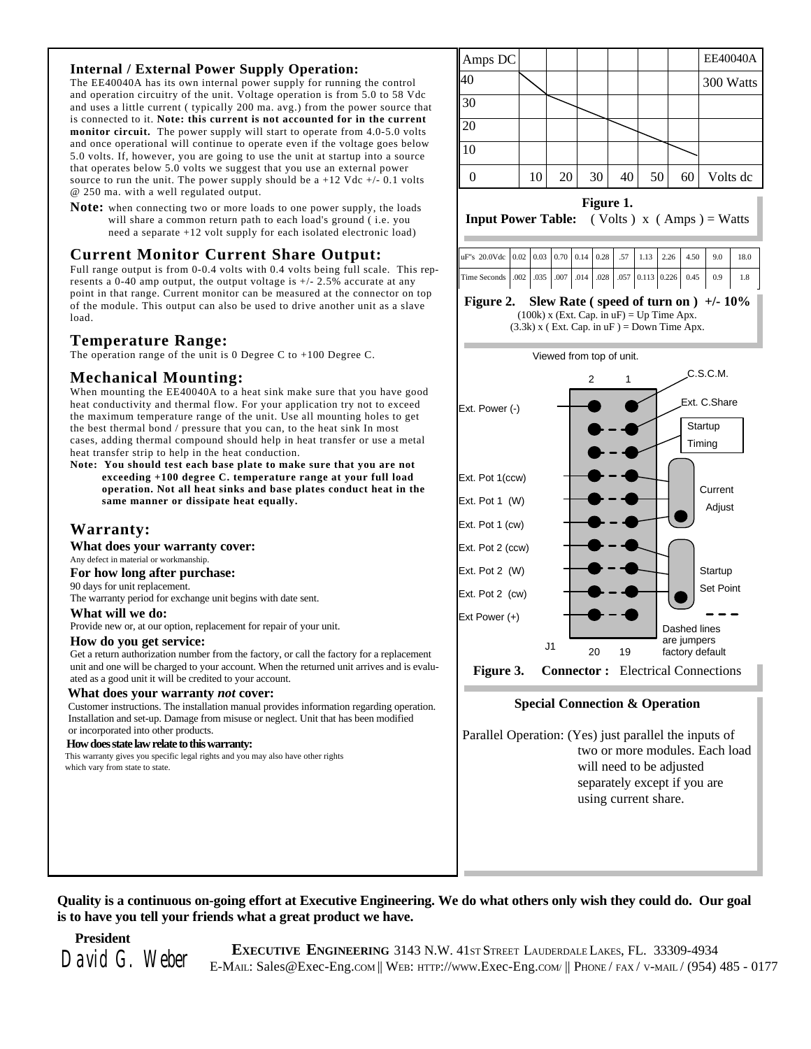#### **Internal / External Power Supply Operation:**

The EE40040A has its own internal power supply for running the control and operation circuitry of the unit. Voltage operation is from 5.0 to 58 Vdc and uses a little current ( typically 200 ma. avg.) from the power source that is connected to it. **Note: this current is not accounted for in the current monitor circuit.** The power supply will start to operate from 4.0-5.0 volts and once operational will continue to operate even if the voltage goes below 5.0 volts. If, however, you are going to use the unit at startup into a source that operates below 5.0 volts we suggest that you use an external power source to run the unit. The power supply should be  $a +12$  Vdc  $+/- 0.1$  volts @ 250 ma. with a well regulated output.

**Note:** when connecting two or more loads to one power supply, the loads will share a common return path to each load's ground ( i.e. you need a separate +12 volt supply for each isolated electronic load)

#### **Current Monitor Current Share Output:**

Full range output is from 0-0.4 volts with 0.4 volts being full scale. This represents a 0-40 amp output, the output voltage is  $+/- 2.5\%$  accurate at any point in that range. Current monitor can be measured at the connector on top of the module. This output can also be used to drive another unit as a slave load.

#### **Temperature Range:**

The operation range of the unit is 0 Degree C to +100 Degree C.

#### **Mechanical Mounting:**

When mounting the EE40040A to a heat sink make sure that you have good heat conductivity and thermal flow. For your application try not to exceed the maximum temperature range of the unit. Use all mounting holes to get the best thermal bond / pressure that you can, to the heat sink In most cases, adding thermal compound should help in heat transfer or use a metal heat transfer strip to help in the heat conduction.

**Note: You should test each base plate to make sure that you are not exceeding +100 degree C. temperature range at your full load operation. Not all heat sinks and base plates conduct heat in the same manner or dissipate heat equally.**

#### **Warranty:**

**What does your warranty cover:**

Any defect in material or workmanship.

**For how long after purchase:**

90 days for unit replacement.

The warranty period for exchange unit begins with date sent.

#### **What will we do:**

Provide new or, at our option, replacement for repair of your unit.

#### **How do you get service:**

Get a return authorization number from the factory, or call the factory for a replacement unit and one will be charged to your account. When the returned unit arrives and is evaluated as a good unit it will be credited to your account.

#### **What does your warranty** *not* **cover:**

 Customer instructions. The installation manual provides information regarding operation. Installation and set-up. Damage from misuse or neglect. Unit that has been modified or incorporated into other products.

#### **How does state law relate to this warranty:**

 This warranty gives you specific legal rights and you may also have other rights which vary from state to state.



#### **Figure 1.**

**Input Power Table:** ( Volts )  $x$  ( Amps ) = Watts

| uF"s 20.0Vdc 0.02 0.03 0.70 0.14 0.28 57 1.13 2.26 4.50 9.0 18.0 |  |  |  |  |  |     |
|------------------------------------------------------------------|--|--|--|--|--|-----|
| Time Seconds .002 .035 .007 .014 .028 .057 0.113 0.226 0.45 0.9  |  |  |  |  |  | 1.8 |
|                                                                  |  |  |  |  |  |     |

#### **Figure 2. Slew Rate ( speed of turn on ) +/- 10%** (100k) x (Ext. Cap. in  $uF$ ) = Up Time Apx.  $(3.3k)$  x (Ext. Cap. in uF) = Down Time Apx.



**Figure 3. Connector :** Electrical Connections

#### **Special Connection & Operation**

Parallel Operation: (Yes) just parallel the inputs of two or more modules. Each load will need to be adjusted separately except if you are using current share.

**Quality is a continuous on-going effort at Executive Engineering. We do what others only wish they could do. Our goal is to have you tell your friends what a great product we have.**

 **President**

**EXECUTIVE ENGINEERING** 3143 N.W. 41st Street LAUDERDALE LAKES, FL. 33309-4934<br>David G. Weber E-MAIL: Sales@Exec-Eng.com || WEB: HTTP://www.Exec-Eng.com || PHONE/ FAX/ V-MAIL/ (954) 485 - 0177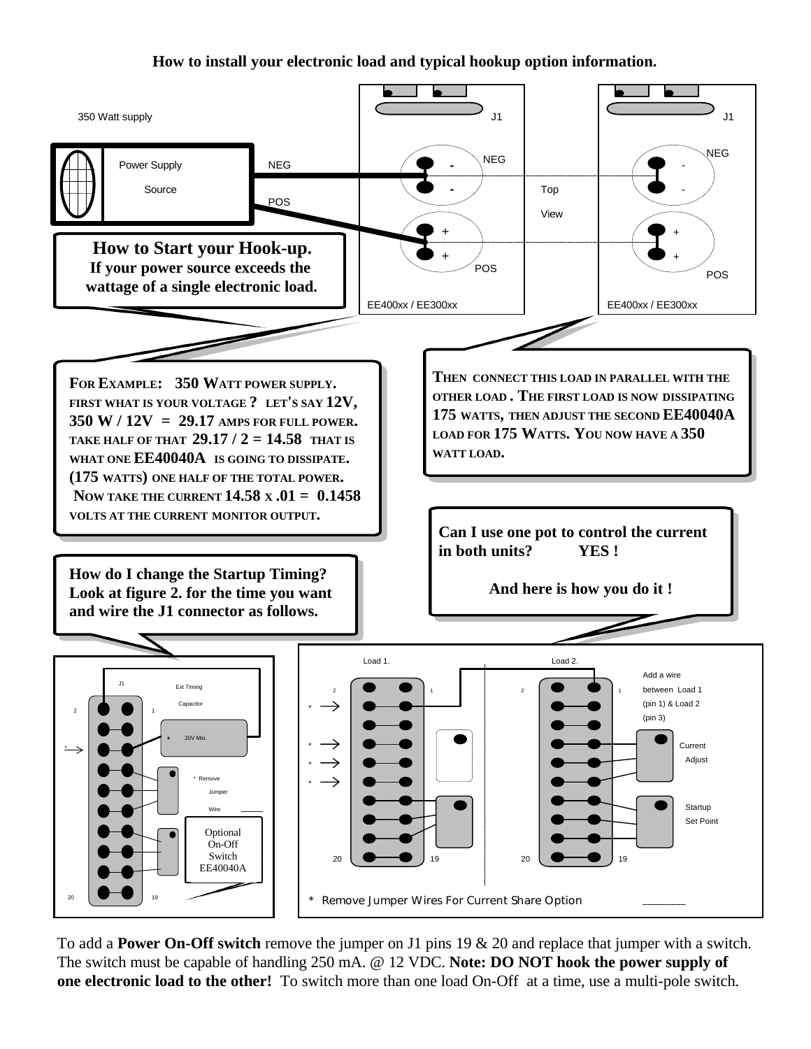**How to install your electronic load and typical hookup option information.**



To add a **Power On-Off switch** remove the jumper on J1 pins 19 & 20 and replace that jumper with a switch. The switch must be capable of handling 250 mA. @ 12 VDC. **Note: DO NOT hook the power supply of one electronic load to the other!** To switch more than one load On-Off at a time, use a multi-pole switch.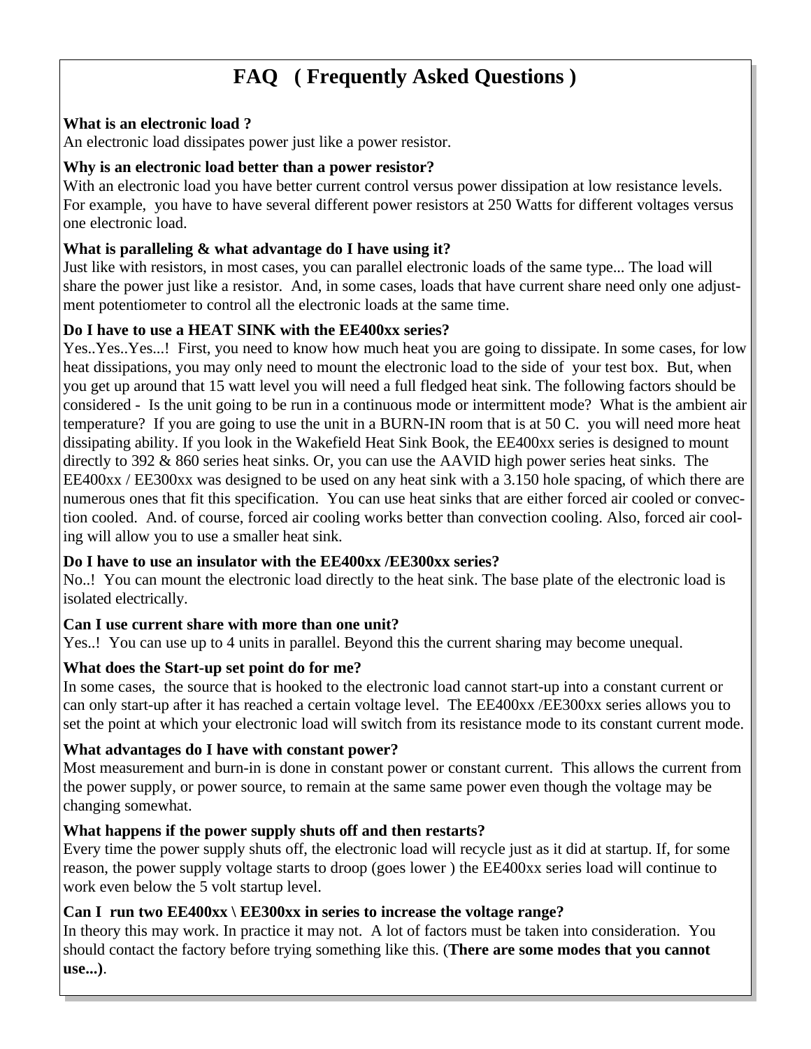## **FAQ ( Frequently Asked Questions )**

## **What is an electronic load ?**

An electronic load dissipates power just like a power resistor.

### **Why is an electronic load better than a power resistor?**

With an electronic load you have better current control versus power dissipation at low resistance levels. For example, you have to have several different power resistors at 250 Watts for different voltages versus one electronic load.

## **What is paralleling & what advantage do I have using it?**

Just like with resistors, in most cases, you can parallel electronic loads of the same type... The load will share the power just like a resistor. And, in some cases, loads that have current share need only one adjustment potentiometer to control all the electronic loads at the same time.

## **Do I have to use a HEAT SINK with the EE400xx series?**

Yes..Yes..Yes...! First, you need to know how much heat you are going to dissipate. In some cases, for low heat dissipations, you may only need to mount the electronic load to the side of your test box. But, when you get up around that 15 watt level you will need a full fledged heat sink. The following factors should be considered - Is the unit going to be run in a continuous mode or intermittent mode? What is the ambient air temperature? If you are going to use the unit in a BURN-IN room that is at 50 C. you will need more heat dissipating ability. If you look in the Wakefield Heat Sink Book, the EE400xx series is designed to mount directly to 392 & 860 series heat sinks. Or, you can use the AAVID high power series heat sinks. The EE400xx / EE300xx was designed to be used on any heat sink with a 3.150 hole spacing, of which there are numerous ones that fit this specification. You can use heat sinks that are either forced air cooled or convection cooled. And. of course, forced air cooling works better than convection cooling. Also, forced air cooling will allow you to use a smaller heat sink.

### **Do I have to use an insulator with the EE400xx /EE300xx series?**

No..! You can mount the electronic load directly to the heat sink. The base plate of the electronic load is isolated electrically.

### **Can I use current share with more than one unit?**

Yes..! You can use up to 4 units in parallel. Beyond this the current sharing may become unequal.

## **What does the Start-up set point do for me?**

In some cases, the source that is hooked to the electronic load cannot start-up into a constant current or can only start-up after it has reached a certain voltage level. The EE400xx /EE300xx series allows you to set the point at which your electronic load will switch from its resistance mode to its constant current mode.

## **What advantages do I have with constant power?**

Most measurement and burn-in is done in constant power or constant current. This allows the current from the power supply, or power source, to remain at the same same power even though the voltage may be changing somewhat.

## **What happens if the power supply shuts off and then restarts?**

Every time the power supply shuts off, the electronic load will recycle just as it did at startup. If, for some reason, the power supply voltage starts to droop (goes lower ) the EE400xx series load will continue to work even below the 5 volt startup level.

## **Can I run two EE400xx \ EE300xx in series to increase the voltage range?**

In theory this may work. In practice it may not. A lot of factors must be taken into consideration. You should contact the factory before trying something like this. (**There are some modes that you cannot use...)**.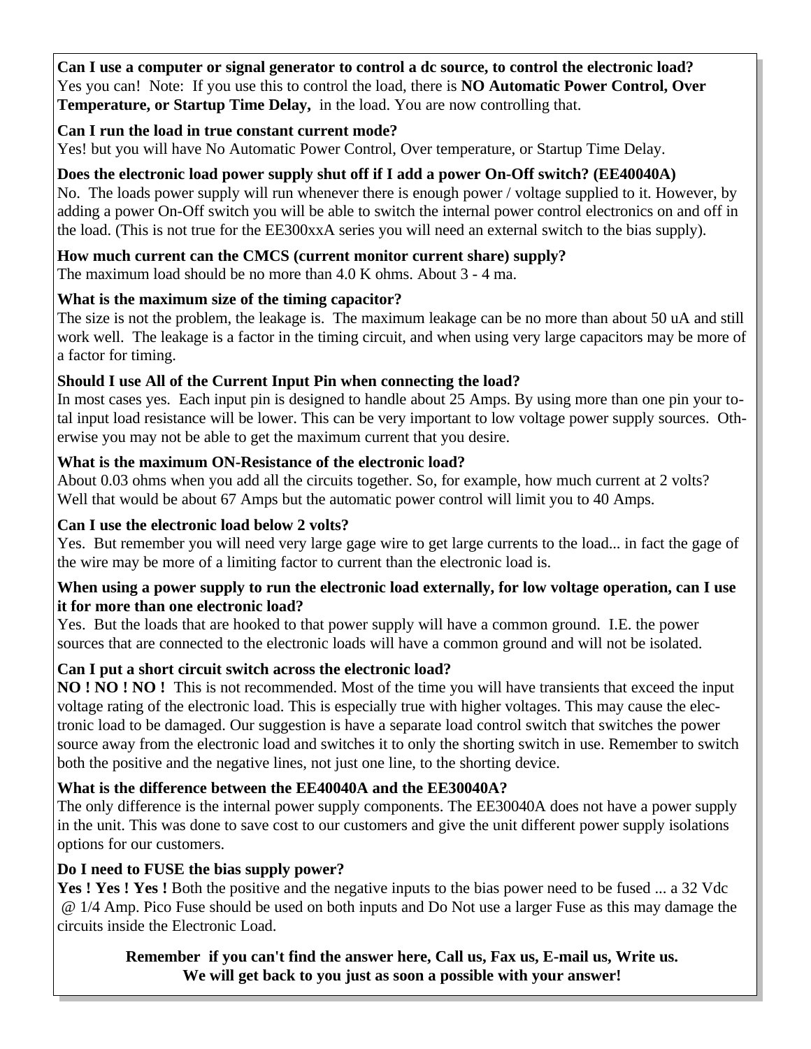**Can I use a computer or signal generator to control a dc source, to control the electronic load?** Yes you can! Note: If you use this to control the load, there is **NO Automatic Power Control, Over Temperature, or Startup Time Delay,** in the load. You are now controlling that.

## **Can I run the load in true constant current mode?**

Yes! but you will have No Automatic Power Control, Over temperature, or Startup Time Delay.

## **Does the electronic load power supply shut off if I add a power On-Off switch? (EE40040A)**

No. The loads power supply will run whenever there is enough power / voltage supplied to it. However, by adding a power On-Off switch you will be able to switch the internal power control electronics on and off in the load. (This is not true for the EE300xxA series you will need an external switch to the bias supply).

## **How much current can the CMCS (current monitor current share) supply?**

The maximum load should be no more than 4.0 K ohms. About 3 - 4 ma.

## **What is the maximum size of the timing capacitor?**

The size is not the problem, the leakage is. The maximum leakage can be no more than about 50 uA and still work well. The leakage is a factor in the timing circuit, and when using very large capacitors may be more of a factor for timing.

## **Should I use All of the Current Input Pin when connecting the load?**

In most cases yes. Each input pin is designed to handle about 25 Amps. By using more than one pin your total input load resistance will be lower. This can be very important to low voltage power supply sources. Otherwise you may not be able to get the maximum current that you desire.

## **What is the maximum ON-Resistance of the electronic load?**

About 0.03 ohms when you add all the circuits together. So, for example, how much current at 2 volts? Well that would be about 67 Amps but the automatic power control will limit you to 40 Amps.

## **Can I use the electronic load below 2 volts?**

Yes. But remember you will need very large gage wire to get large currents to the load... in fact the gage of the wire may be more of a limiting factor to current than the electronic load is.

### **When using a power supply to run the electronic load externally, for low voltage operation, can I use it for more than one electronic load?**

Yes. But the loads that are hooked to that power supply will have a common ground. I.E. the power sources that are connected to the electronic loads will have a common ground and will not be isolated.

## **Can I put a short circuit switch across the electronic load?**

**NO ! NO ! NO !** This is not recommended. Most of the time you will have transients that exceed the input voltage rating of the electronic load. This is especially true with higher voltages. This may cause the electronic load to be damaged. Our suggestion is have a separate load control switch that switches the power source away from the electronic load and switches it to only the shorting switch in use. Remember to switch both the positive and the negative lines, not just one line, to the shorting device.

## **What is the difference between the EE40040A and the EE30040A?**

The only difference is the internal power supply components. The EE30040A does not have a power supply in the unit. This was done to save cost to our customers and give the unit different power supply isolations options for our customers.

## **Do I need to FUSE the bias supply power?**

Yes ! Yes ! Yes ! Both the positive and the negative inputs to the bias power need to be fused ... a 32 Vdc @ 1/4 Amp. Pico Fuse should be used on both inputs and Do Not use a larger Fuse as this may damage the circuits inside the Electronic Load.

## **Remember if you can't find the answer here, Call us, Fax us, E-mail us, Write us. We will get back to you just as soon a possible with your answer!**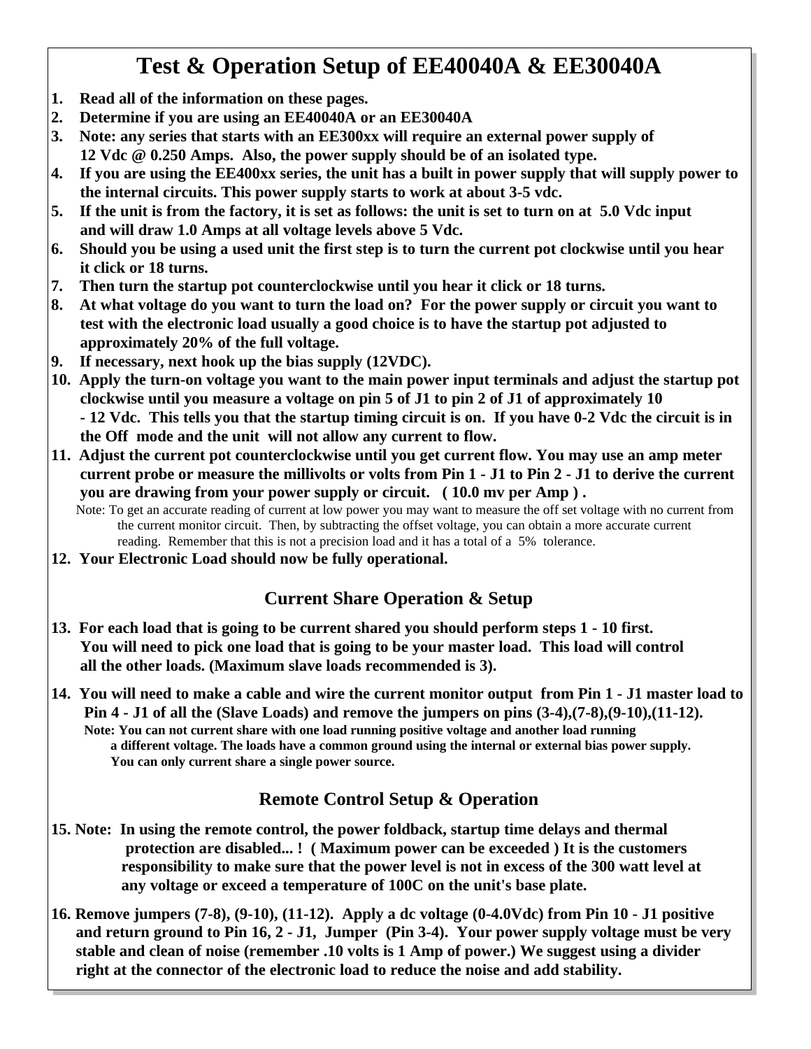## **Test & Operation Setup of EE40040A & EE30040A**

- **1. Read all of the information on these pages.**
- **2. Determine if you are using an EE40040A or an EE30040A**
- **3. Note: any series that starts with an EE300xx will require an external power supply of 12 Vdc @ 0.250 Amps. Also, the power supply should be of an isolated type.**
- **4. If you are using the EE400xx series, the unit has a built in power supply that will supply power to the internal circuits. This power supply starts to work at about 3-5 vdc.**
- **5. If the unit is from the factory, it is set as follows: the unit is set to turn on at 5.0 Vdc input and will draw 1.0 Amps at all voltage levels above 5 Vdc.**
- **6. Should you be using a used unit the first step is to turn the current pot clockwise until you hear it click or 18 turns.**
- **7. Then turn the startup pot counterclockwise until you hear it click or 18 turns.**
- **8. At what voltage do you want to turn the load on? For the power supply or circuit you want to test with the electronic load usually a good choice is to have the startup pot adjusted to approximately 20% of the full voltage.**
- **9. If necessary, next hook up the bias supply (12VDC).**
- **10. Apply the turn-on voltage you want to the main power input terminals and adjust the startup pot clockwise until you measure a voltage on pin 5 of J1 to pin 2 of J1 of approximately 10 - 12 Vdc. This tells you that the startup timing circuit is on. If you have 0-2 Vdc the circuit is in the Off mode and the unit will not allow any current to flow.**
- **11. Adjust the current pot counterclockwise until you get current flow. You may use an amp meter current probe or measure the millivolts or volts from Pin 1 - J1 to Pin 2 - J1 to derive the current you are drawing from your power supply or circuit. ( 10.0 mv per Amp ) .**

Note: To get an accurate reading of current at low power you may want to measure the off set voltage with no current from the current monitor circuit. Then, by subtracting the offset voltage, you can obtain a more accurate current reading. Remember that this is not a precision load and it has a total of a 5% tolerance.

**12. Your Electronic Load should now be fully operational.**

## **Current Share Operation & Setup**

- **13. For each load that is going to be current shared you should perform steps 1 10 first. You will need to pick one load that is going to be your master load. This load will control all the other loads. (Maximum slave loads recommended is 3).**
- **14. You will need to make a cable and wire the current monitor output from Pin 1 J1 master load to Pin 4 - J1 of all the (Slave Loads) and remove the jumpers on pins (3-4),(7-8),(9-10),(11-12). Note: You can not current share with one load running positive voltage and another load running a different voltage. The loads have a common ground using the internal or external bias power supply. You can only current share a single power source.**

## **Remote Control Setup & Operation**

- **15. Note: In using the remote control, the power foldback, startup time delays and thermal protection are disabled... ! ( Maximum power can be exceeded ) It is the customers responsibility to make sure that the power level is not in excess of the 300 watt level at any voltage or exceed a temperature of 100C on the unit's base plate.**
- **16. Remove jumpers (7-8), (9-10), (11-12). Apply a dc voltage (0-4.0Vdc) from Pin 10 J1 positive and return ground to Pin 16, 2 - J1, Jumper (Pin 3-4). Your power supply voltage must be very stable and clean of noise (remember .10 volts is 1 Amp of power.) We suggest using a divider right at the connector of the electronic load to reduce the noise and add stability.**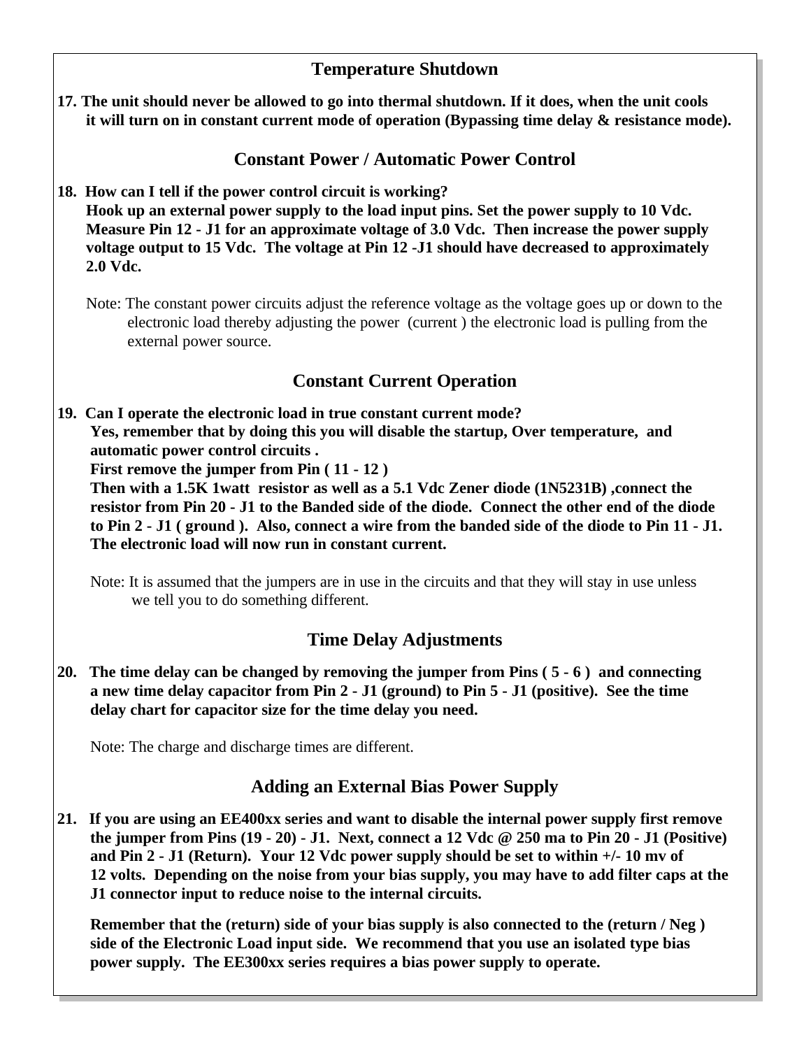## **Temperature Shutdown**

**17. The unit should never be allowed to go into thermal shutdown. If it does, when the unit cools it will turn on in constant current mode of operation (Bypassing time delay & resistance mode).**

## **Constant Power / Automatic Power Control**

**18. How can I tell if the power control circuit is working?**

 **Hook up an external power supply to the load input pins. Set the power supply to 10 Vdc. Measure Pin 12 - J1 for an approximate voltage of 3.0 Vdc. Then increase the power supply voltage output to 15 Vdc. The voltage at Pin 12 -J1 should have decreased to approximately 2.0 Vdc.**

Note: The constant power circuits adjust the reference voltage as the voltage goes up or down to the electronic load thereby adjusting the power (current ) the electronic load is pulling from the external power source.

## **Constant Current Operation**

**19. Can I operate the electronic load in true constant current mode? Yes, remember that by doing this you will disable the startup, Over temperature, and automatic power control circuits .**

 **First remove the jumper from Pin ( 11 - 12 )**

 **Then with a 1.5K 1watt resistor as well as a 5.1 Vdc Zener diode (1N5231B) ,connect the resistor from Pin 20 - J1 to the Banded side of the diode. Connect the other end of the diode to Pin 2 - J1 ( ground ). Also, connect a wire from the banded side of the diode to Pin 11 - J1. The electronic load will now run in constant current.**

Note: It is assumed that the jumpers are in use in the circuits and that they will stay in use unless we tell you to do something different.

## **Time Delay Adjustments**

**20. The time delay can be changed by removing the jumper from Pins ( 5 - 6 ) and connecting a new time delay capacitor from Pin 2 - J1 (ground) to Pin 5 - J1 (positive). See the time delay chart for capacitor size for the time delay you need.**

Note: The charge and discharge times are different.

## **Adding an External Bias Power Supply**

**21. If you are using an EE400xx series and want to disable the internal power supply first remove the jumper from Pins (19 - 20) - J1. Next, connect a 12 Vdc @ 250 ma to Pin 20 - J1 (Positive) and Pin 2 - J1 (Return). Your 12 Vdc power supply should be set to within +/- 10 mv of 12 volts. Depending on the noise from your bias supply, you may have to add filter caps at the J1 connector input to reduce noise to the internal circuits.**

 **Remember that the (return) side of your bias supply is also connected to the (return / Neg ) side of the Electronic Load input side. We recommend that you use an isolated type bias power supply. The EE300xx series requires a bias power supply to operate.**